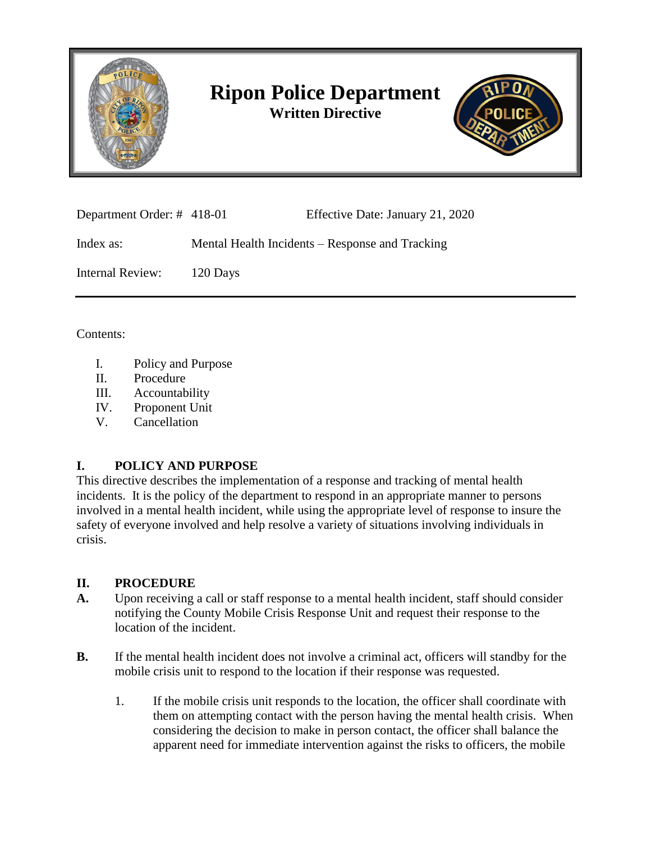

# **Ripon Police Department Written Directive**



| Department Order: #418-01 |          | Effective Date: January 21, 2020                |
|---------------------------|----------|-------------------------------------------------|
| Index as:                 |          | Mental Health Incidents – Response and Tracking |
| Internal Review:          | 120 Days |                                                 |

Contents:

- I. Policy and Purpose
- II. Procedure
- III. Accountability
- IV. Proponent Unit
- V. Cancellation

### **I. POLICY AND PURPOSE**

This directive describes the implementation of a response and tracking of mental health incidents. It is the policy of the department to respond in an appropriate manner to persons involved in a mental health incident, while using the appropriate level of response to insure the safety of everyone involved and help resolve a variety of situations involving individuals in crisis.

#### **II. PROCEDURE**

- **A.** Upon receiving a call or staff response to a mental health incident, staff should consider notifying the County Mobile Crisis Response Unit and request their response to the location of the incident.
- **B.** If the mental health incident does not involve a criminal act, officers will standby for the mobile crisis unit to respond to the location if their response was requested.
	- 1. If the mobile crisis unit responds to the location, the officer shall coordinate with them on attempting contact with the person having the mental health crisis. When considering the decision to make in person contact, the officer shall balance the apparent need for immediate intervention against the risks to officers, the mobile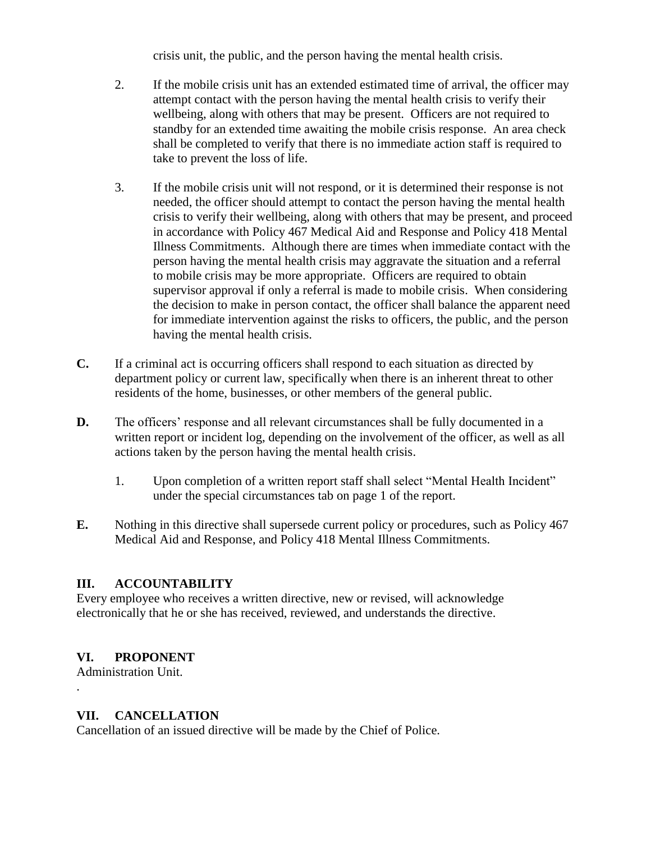crisis unit, the public, and the person having the mental health crisis.

- 2. If the mobile crisis unit has an extended estimated time of arrival, the officer may attempt contact with the person having the mental health crisis to verify their wellbeing, along with others that may be present. Officers are not required to standby for an extended time awaiting the mobile crisis response. An area check shall be completed to verify that there is no immediate action staff is required to take to prevent the loss of life.
- 3. If the mobile crisis unit will not respond, or it is determined their response is not needed, the officer should attempt to contact the person having the mental health crisis to verify their wellbeing, along with others that may be present, and proceed in accordance with Policy 467 Medical Aid and Response and Policy 418 Mental Illness Commitments. Although there are times when immediate contact with the person having the mental health crisis may aggravate the situation and a referral to mobile crisis may be more appropriate. Officers are required to obtain supervisor approval if only a referral is made to mobile crisis. When considering the decision to make in person contact, the officer shall balance the apparent need for immediate intervention against the risks to officers, the public, and the person having the mental health crisis.
- **C.** If a criminal act is occurring officers shall respond to each situation as directed by department policy or current law, specifically when there is an inherent threat to other residents of the home, businesses, or other members of the general public.
- **D.** The officers' response and all relevant circumstances shall be fully documented in a written report or incident log, depending on the involvement of the officer, as well as all actions taken by the person having the mental health crisis.
	- 1. Upon completion of a written report staff shall select "Mental Health Incident" under the special circumstances tab on page 1 of the report.
- **E.** Nothing in this directive shall supersede current policy or procedures, such as Policy 467 Medical Aid and Response, and Policy 418 Mental Illness Commitments.

### **III. ACCOUNTABILITY**

Every employee who receives a written directive, new or revised, will acknowledge electronically that he or she has received, reviewed, and understands the directive.

## **VI. PROPONENT**

Administration Unit. .

### **VII. CANCELLATION**

Cancellation of an issued directive will be made by the Chief of Police.